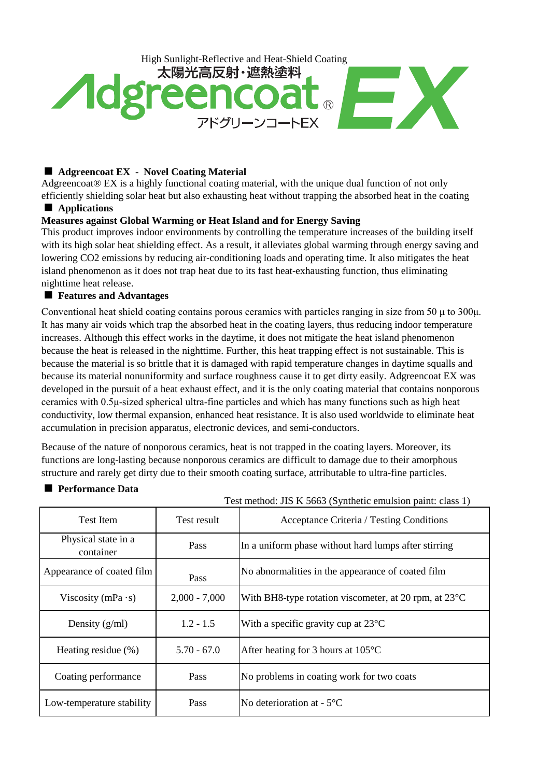

## ■ Adgreencoat EX - Novel Coating Material

Adgreencoat® EX is a highly functional coating material, with the unique dual function of not only efficiently shielding solar heat but also exhausting heat without trapping the absorbed heat in the coating

# ■ **Applications**

## **Measures against Global Warming or Heat Island and for Energy Saving**

This product improves indoor environments by controlling the temperature increases of the building itself with its high solar heat shielding effect. As a result, it alleviates global warming through energy saving and lowering CO2 emissions by reducing air-conditioning loads and operating time. It also mitigates the heat island phenomenon as it does not trap heat due to its fast heat-exhausting function, thus eliminating nighttime heat release.

## ■ Features and Advantages

Conventional heat shield coating contains porous ceramics with particles ranging in size from 50 μ to 300μ. It has many air voids which trap the absorbed heat in the coating layers, thus reducing indoor temperature increases. Although this effect works in the daytime, it does not mitigate the heat island phenomenon because the heat is released in the nighttime. Further, this heat trapping effect is not sustainable. This is because the material is so brittle that it is damaged with rapid temperature changes in daytime squalls and because its material nonuniformity and surface roughness cause it to get dirty easily. Adgreencoat EX was developed in the pursuit of a heat exhaust effect, and it is the only coating material that contains nonporous ceramics with 0.5μ-sized spherical ultra-fine particles and which has many functions such as high heat conductivity, low thermal expansion, enhanced heat resistance. It is also used worldwide to eliminate heat accumulation in precision apparatus, electronic devices, and semi-conductors.

Because of the nature of nonporous ceramics, heat is not trapped in the coating layers. Moreover, its functions are long-lasting because nonporous ceramics are difficult to damage due to their amorphous structure and rarely get dirty due to their smooth coating surface, attributable to ultra-fine particles.

## ■ Performance Data

|                                  | Test method: JIS K 5663 (Synthetic emulsion paint: class 1) |                                                                 |  |  |
|----------------------------------|-------------------------------------------------------------|-----------------------------------------------------------------|--|--|
| <b>Test Item</b>                 | Test result                                                 | <b>Acceptance Criteria</b> / Testing Conditions                 |  |  |
| Physical state in a<br>container | Pass                                                        | In a uniform phase without hard lumps after stirring            |  |  |
| Appearance of coated film        | Pass                                                        | No abnormalities in the appearance of coated film               |  |  |
| Viscosity (mPa $\cdot$ s)        | $2,000 - 7,000$                                             | With BH8-type rotation viscometer, at 20 rpm, at $23^{\circ}$ C |  |  |
| $1.2 - 1.5$<br>Density $(g/ml)$  |                                                             | With a specific gravity cup at $23^{\circ}$ C                   |  |  |
| Heating residue $(\% )$          | $5.70 - 67.0$                                               | After heating for 3 hours at $105^{\circ}$ C                    |  |  |
| Coating performance              | Pass                                                        | No problems in coating work for two coats                       |  |  |
| Low-temperature stability        | Pass                                                        | No deterioration at $-5^{\circ}$ C                              |  |  |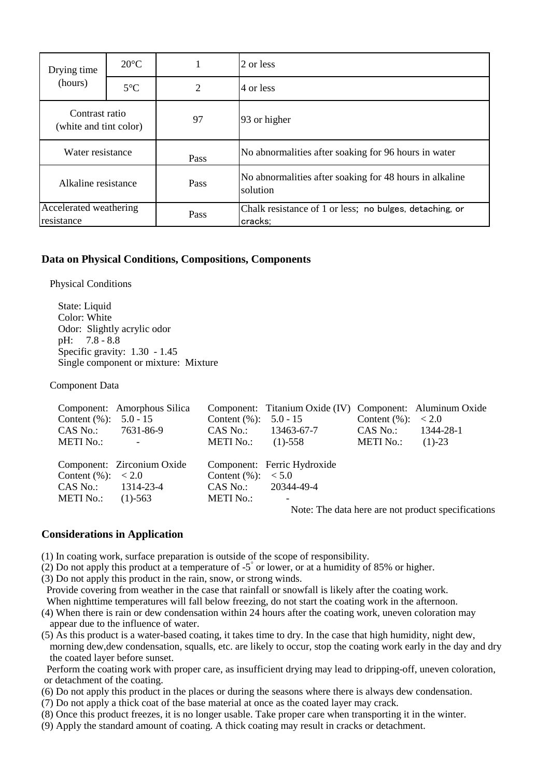| Drying time<br>(hours)                   | $20^{\circ}$ C |      | 2 or less                                                           |  |
|------------------------------------------|----------------|------|---------------------------------------------------------------------|--|
|                                          | $5^{\circ}$ C  | 2    | 4 or less                                                           |  |
| Contrast ratio<br>(white and tint color) |                | 97   | 93 or higher                                                        |  |
| Water resistance                         |                | Pass | No abnormalities after soaking for 96 hours in water                |  |
| Alkaline resistance                      |                | Pass | No abnormalities after soaking for 48 hours in alkaline<br>solution |  |
| Accelerated weathering<br>resistance     |                | Pass | Chalk resistance of 1 or less; no bulges, detaching, or<br>cracks;  |  |

#### **Data on Physical Conditions, Compositions, Components**

Physical Conditions

State: Liquid Color: White Odor: Slightly acrylic odor pH: 7.8 - 8.8 Specific gravity: 1.30 - 1.45 Single component or mixture: Mixture

Component Data

|                          | Component: Amorphous Silica                                         |                          | Component: Titanium Oxide (IV) Component: Aluminum Oxide |                       |                                                   |
|--------------------------|---------------------------------------------------------------------|--------------------------|----------------------------------------------------------|-----------------------|---------------------------------------------------|
| Content $(\%):$ 5.0 - 15 |                                                                     | Content $(\%):$ 5.0 - 15 |                                                          | Content $(\%): < 2.0$ |                                                   |
| CAS No.: 7631-86-9       |                                                                     |                          | $CAS No.: 13463-67-7$                                    | $CAS No.: 1344-28-1$  |                                                   |
| METI No.:                | $\mathcal{L}^{\mathcal{L}}(\mathcal{L}^{\mathcal{L}}(\mathcal{L}))$ | METI No.: $(1)$ -558     |                                                          | METI No.: $(1)-23$    |                                                   |
|                          |                                                                     |                          |                                                          |                       |                                                   |
|                          | Component: Zirconium Oxide                                          |                          | Component: Ferric Hydroxide                              |                       |                                                   |
| Content $(\%): < 2.0$    |                                                                     | Content $(\%): < 5.0$    |                                                          |                       |                                                   |
| $CAS No.: 1314-23-4$     |                                                                     | $CAS No.: 20344-49-4$    |                                                          |                       |                                                   |
| METI No.: $(1)$ -563     |                                                                     | METI No.:                | $\qquad \qquad -$                                        |                       |                                                   |
|                          |                                                                     |                          |                                                          |                       | Mata, Tha data haya aya yat yuaduat ayaalfiaatian |

Note: The data here are not product specifications

#### **Considerations in Application**

- (1) In coating work, surface preparation is outside of the scope of responsibility.
- (2) Do not apply this product at a temperature of -5˚ or lower, or at a humidity of 85% or higher.
- (3) Do not apply this product in the rain, snow, or strong winds.
- Provide covering from weather in the case that rainfall or snowfall is likely after the coating work. When nighttime temperatures will fall below freezing, do not start the coating work in the afternoon.
- (4) When there is rain or dew condensation within 24 hours after the coating work, uneven coloration may appear due to the influence of water.
- (5) As this product is a water-based coating, it takes time to dry. In the case that high humidity, night dew, morning dew,dew condensation, squalls, etc. are likely to occur, stop the coating work early in the day and dry the coated layer before sunset.

 Perform the coating work with proper care, as insufficient drying may lead to dripping-off, uneven coloration, or detachment of the coating.

- (6) Do not apply this product in the places or during the seasons where there is always dew condensation.
- (7) Do not apply a thick coat of the base material at once as the coated layer may crack.
- (8) Once this product freezes, it is no longer usable. Take proper care when transporting it in the winter.
- (9) Apply the standard amount of coating. A thick coating may result in cracks or detachment.